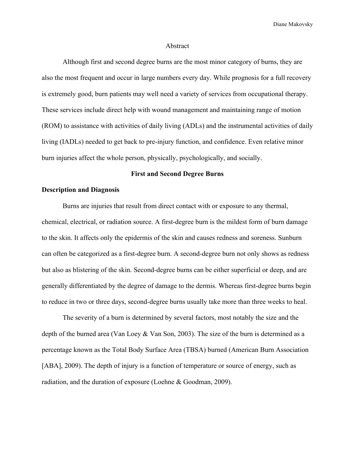#### Abstract

Although first and second degree burns are the most minor category of burns, they are also the most frequent and occur in large numbers every day. While prognosis for a full recovery is extremely good, burn patients may well need a variety of services from occupational therapy. These services include direct help with wound management and maintaining range of motion (ROM) to assistance with activities of daily living (ADLs) and the instrumental activities of daily living (IADLs) needed to get back to pre-injury function, and confidence. Even relative minor burn injuries affect the whole person, physically, psychologically, and socially.

## **First and Second Degree Burns**

## **Description and Diagnosis**

Burns are injuries that result from direct contact with or exposure to any thermal, chemical, electrical, or radiation source. A first-degree burn is the mildest form of burn damage to the skin. It affects only the epidermis of the skin and causes redness and soreness. Sunburn can often be categorized as a first-degree burn. A second-degree burn not only shows as redness but also as blistering of the skin. Second-degree burns can be either superficial or deep, and are generally differentiated by the degree of damage to the dermis. Whereas first-degree burns begin to reduce in two or three days, second-degree burns usually take more than three weeks to heal.

The severity of a burn is determined by several factors, most notably the size and the depth of the burned area (Van Loey & Van Son, 2003). The size of the burn is determined as a percentage known as the Total Body Surface Area (TBSA) burned (American Burn Association [ABA], 2009). The depth of injury is a function of temperature or source of energy, such as radiation, and the duration of exposure (Loehne & Goodman, 2009).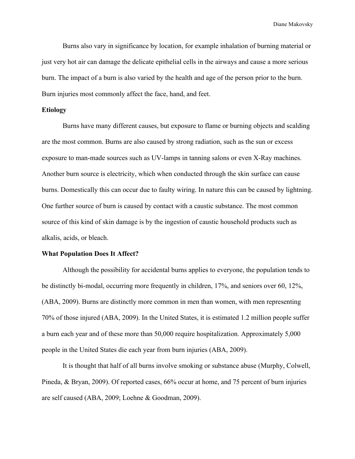Burns also vary in significance by location, for example inhalation of burning material or just very hot air can damage the delicate epithelial cells in the airways and cause a more serious burn. The impact of a burn is also varied by the health and age of the person prior to the burn. Burn injuries most commonly affect the face, hand, and feet.

## **Etiology**

Burns have many different causes, but exposure to flame or burning objects and scalding are the most common. Burns are also caused by strong radiation, such as the sun or excess exposure to man-made sources such as UV-lamps in tanning salons or even X-Ray machines. Another burn source is electricity, which when conducted through the skin surface can cause burns. Domestically this can occur due to faulty wiring. In nature this can be caused by lightning. One further source of burn is caused by contact with a caustic substance. The most common source of this kind of skin damage is by the ingestion of caustic household products such as alkalis, acids, or bleach.

#### **What Population Does It Affect?**

Although the possibility for accidental burns applies to everyone, the population tends to be distinctly bi-modal, occurring more frequently in children, 17%, and seniors over 60, 12%, (ABA, 2009). Burns are distinctly more common in men than women, with men representing 70% of those injured (ABA, 2009). In the United States, it is estimated 1.2 million people suffer a burn each year and of these more than 50,000 require hospitalization. Approximately 5,000 people in the United States die each year from burn injuries (ABA, 2009).

It is thought that half of all burns involve smoking or substance abuse (Murphy, Colwell, Pineda, & Bryan, 2009). Of reported cases, 66% occur at home, and 75 percent of burn injuries are self caused (ABA, 2009; Loehne & Goodman, 2009).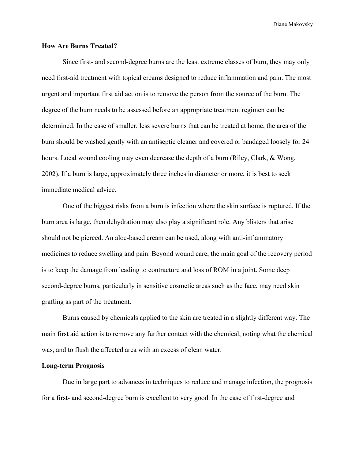### **How Are Burns Treated?**

Since first- and second-degree burns are the least extreme classes of burn, they may only need first-aid treatment with topical creams designed to reduce inflammation and pain. The most urgent and important first aid action is to remove the person from the source of the burn. The degree of the burn needs to be assessed before an appropriate treatment regimen can be determined. In the case of smaller, less severe burns that can be treated at home, the area of the burn should be washed gently with an antiseptic cleaner and covered or bandaged loosely for 24 hours. Local wound cooling may even decrease the depth of a burn (Riley, Clark, & Wong, 2002). If a burn is large, approximately three inches in diameter or more, it is best to seek immediate medical advice.

One of the biggest risks from a burn is infection where the skin surface is ruptured. If the burn area is large, then dehydration may also play a significant role. Any blisters that arise should not be pierced. An aloe-based cream can be used, along with anti-inflammatory medicines to reduce swelling and pain. Beyond wound care, the main goal of the recovery period is to keep the damage from leading to contracture and loss of ROM in a joint. Some deep second-degree burns, particularly in sensitive cosmetic areas such as the face, may need skin grafting as part of the treatment.

Burns caused by chemicals applied to the skin are treated in a slightly different way. The main first aid action is to remove any further contact with the chemical, noting what the chemical was, and to flush the affected area with an excess of clean water.

## **Long-term Prognosis**

Due in large part to advances in techniques to reduce and manage infection, the prognosis for a first- and second-degree burn is excellent to very good. In the case of first-degree and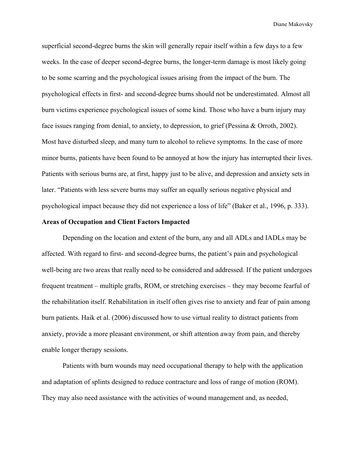superficial second-degree burns the skin will generally repair itself within a few days to a few weeks. In the case of deeper second-degree burns, the longer-term damage is most likely going to be some scarring and the psychological issues arising from the impact of the burn. The psychological effects in first- and second-degree burns should not be underestimated. Almost all burn victims experience psychological issues of some kind. Those who have a burn injury may face issues ranging from denial, to anxiety, to depression, to grief (Pessina & Orroth, 2002). Most have disturbed sleep, and many turn to alcohol to relieve symptoms. In the case of more minor burns, patients have been found to be annoyed at how the injury has interrupted their lives. Patients with serious burns are, at first, happy just to be alive, and depression and anxiety sets in later. "Patients with less severe burns may suffer an equally serious negative physical and psychological impact because they did not experience a loss of life" (Baker et al., 1996, p. 333).

## **Areas of Occupation and Client Factors Impacted**

Depending on the location and extent of the burn, any and all ADLs and IADLs may be affected. With regard to first- and second-degree burns, the patient's pain and psychological well-being are two areas that really need to be considered and addressed. If the patient undergoes frequent treatment – multiple grafts, ROM, or stretching exercises – they may become fearful of the rehabilitation itself. Rehabilitation in itself often gives rise to anxiety and fear of pain among burn patients. Haik et al. (2006) discussed how to use virtual reality to distract patients from anxiety, provide a more pleasant environment, or shift attention away from pain, and thereby enable longer therapy sessions.

Patients with burn wounds may need occupational therapy to help with the application and adaptation of splints designed to reduce contracture and loss of range of motion (ROM). They may also need assistance with the activities of wound management and, as needed,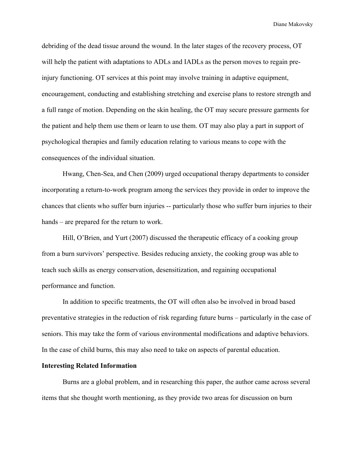debriding of the dead tissue around the wound. In the later stages of the recovery process, OT will help the patient with adaptations to ADLs and IADLs as the person moves to regain preinjury functioning. OT services at this point may involve training in adaptive equipment, encouragement, conducting and establishing stretching and exercise plans to restore strength and a full range of motion. Depending on the skin healing, the OT may secure pressure garments for the patient and help them use them or learn to use them. OT may also play a part in support of psychological therapies and family education relating to various means to cope with the consequences of the individual situation.

Hwang, Chen-Sea, and Chen (2009) urged occupational therapy departments to consider incorporating a return-to-work program among the services they provide in order to improve the chances that clients who suffer burn injuries -- particularly those who suffer burn injuries to their hands – are prepared for the return to work.

Hill, O'Brien, and Yurt (2007) discussed the therapeutic efficacy of a cooking group from a burn survivors' perspective. Besides reducing anxiety, the cooking group was able to teach such skills as energy conservation, desensitization, and regaining occupational performance and function.

In addition to specific treatments, the OT will often also be involved in broad based preventative strategies in the reduction of risk regarding future burns – particularly in the case of seniors. This may take the form of various environmental modifications and adaptive behaviors. In the case of child burns, this may also need to take on aspects of parental education.

# **Interesting Related Information**

Burns are a global problem, and in researching this paper, the author came across several items that she thought worth mentioning, as they provide two areas for discussion on burn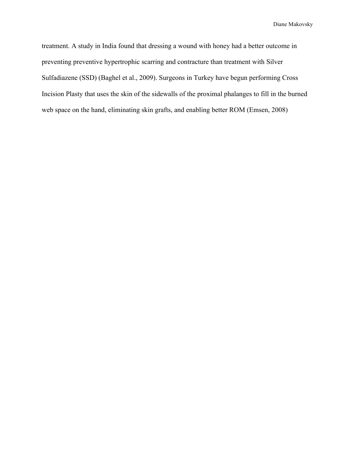treatment. A study in India found that dressing a wound with honey had a better outcome in preventing preventive hypertrophic scarring and contracture than treatment with Silver Sulfadiazene (SSD) (Baghel et al., 2009). Surgeons in Turkey have begun performing Cross Incision Plasty that uses the skin of the sidewalls of the proximal phalanges to fill in the burned web space on the hand, eliminating skin grafts, and enabling better ROM (Emsen, 2008)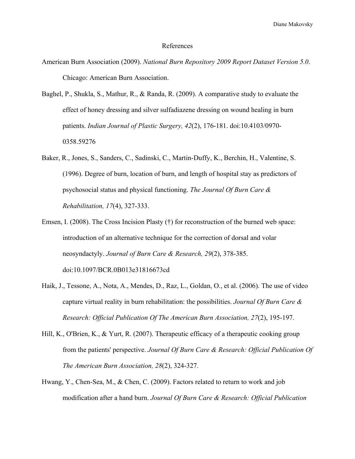#### References

- American Burn Association (2009). *National Burn Repository 2009 Report Dataset Version 5.0*. Chicago: American Burn Association.
- Baghel, P., Shukla, S., Mathur, R., & Randa, R. (2009). A comparative study to evaluate the effect of honey dressing and silver sulfadiazene dressing on wound healing in burn patients. *Indian Journal of Plastic Surgery, 42*(2), 176-181. doi:10.4103/0970- 0358.59276
- Baker, R., Jones, S., Sanders, C., Sadinski, C., Martin-Duffy, K., Berchin, H., Valentine, S. (1996). Degree of burn, location of burn, and length of hospital stay as predictors of psychosocial status and physical functioning. *The Journal Of Burn Care & Rehabilitation, 17*(4), 327-333.
- Emsen, I. (2008). The Cross Incision Plasty (†) for reconstruction of the burned web space: introduction of an alternative technique for the correction of dorsal and volar neosyndactyly. *Journal of Burn Care & Research, 29*(2), 378-385. doi:10.1097/BCR.0B013e31816673cd
- Haik, J., Tessone, A., Nota, A., Mendes, D., Raz, L., Goldan, O., et al. (2006). The use of video capture virtual reality in burn rehabilitation: the possibilities. *Journal Of Burn Care & Research: Official Publication Of The American Burn Association, 27*(2), 195-197.
- Hill, K., O'Brien, K., & Yurt, R. (2007). Therapeutic efficacy of a therapeutic cooking group from the patients' perspective. *Journal Of Burn Care & Research: Official Publication Of The American Burn Association, 28*(2), 324-327.
- Hwang, Y., Chen-Sea, M., & Chen, C. (2009). Factors related to return to work and job modification after a hand burn. *Journal Of Burn Care & Research: Official Publication*